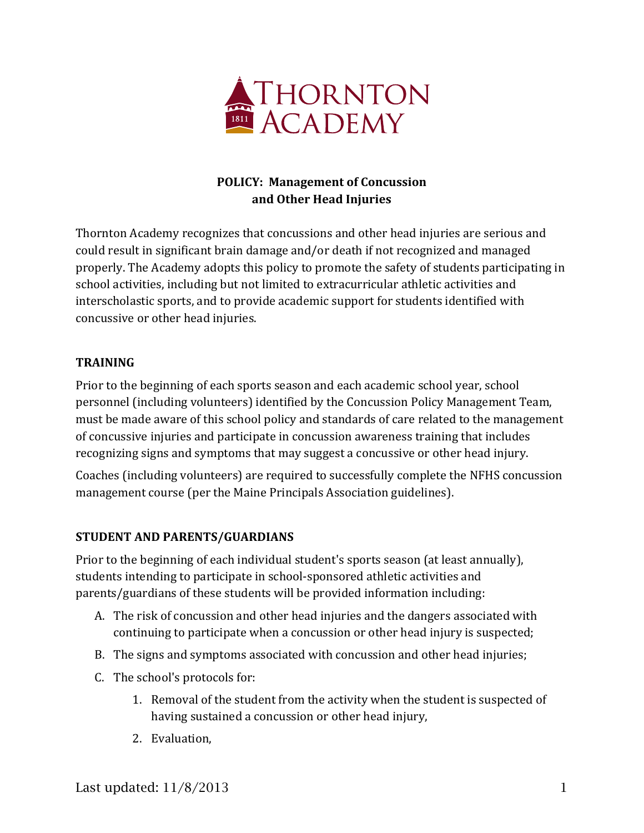

# **POLICY: Management of Concussion and Other Head Injuries**

Thornton Academy recognizes that concussions and other head injuries are serious and could result in significant brain damage and/or death if not recognized and managed properly. The Academy adopts this policy to promote the safety of students participating in school activities, including but not limited to extracurricular athletic activities and interscholastic sports, and to provide academic support for students identified with concussive or other head injuries.

## **TRAINING**

Prior to the beginning of each sports season and each academic school year, school personnel (including volunteers) identified by the Concussion Policy Management Team, must be made aware of this school policy and standards of care related to the management of concussive injuries and participate in concussion awareness training that includes recognizing signs and symptoms that may suggest a concussive or other head injury.

Coaches (including volunteers) are required to successfully complete the NFHS concussion management course (per the Maine Principals Association guidelines).

## **STUDENT AND PARENTS/GUARDIANS**

Prior to the beginning of each individual student's sports season (at least annually), students intending to participate in school-sponsored athletic activities and parents/guardians of these students will be provided information including:

- A. The risk of concussion and other head injuries and the dangers associated with continuing to participate when a concussion or other head injury is suspected;
- B. The signs and symptoms associated with concussion and other head injuries;
- C. The school's protocols for:
	- 1. Removal of the student from the activity when the student is suspected of having sustained a concussion or other head injury,
	- 2. Evaluation,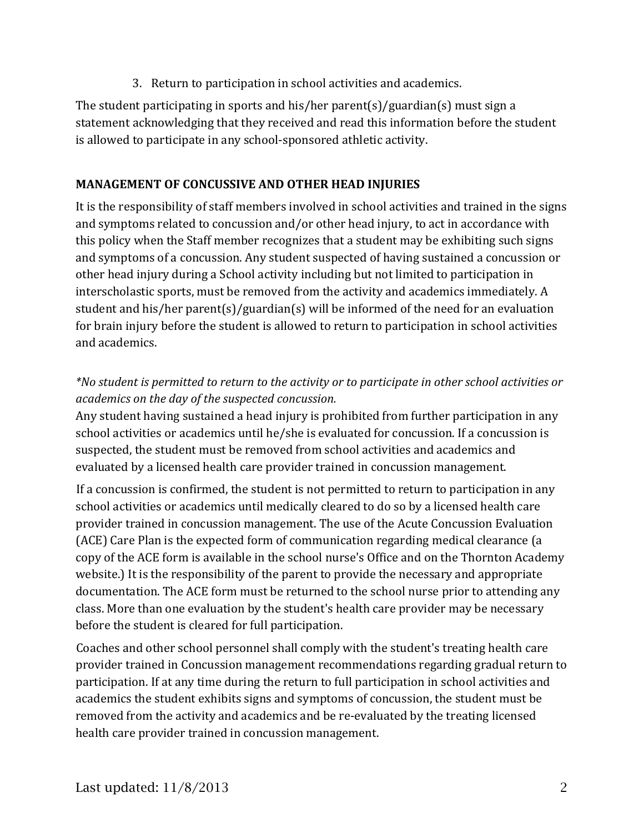3. Return to participation in school activities and academics.

The student participating in sports and his/her parent(s)/guardian(s) must sign a statement acknowledging that they received and read this information before the student is allowed to participate in any school-sponsored athletic activity.

# **MANAGEMENT OF CONCUSSIVE AND OTHER HEAD INJURIES**

It is the responsibility of staff members involved in school activities and trained in the signs and symptoms related to concussion and/or other head injury, to act in accordance with this policy when the Staff member recognizes that a student may be exhibiting such signs and symptoms of a concussion. Any student suspected of having sustained a concussion or other head injury during a School activity including but not limited to participation in interscholastic sports, must be removed from the activity and academics immediately. A student and his/her parent(s)/guardian(s) will be informed of the need for an evaluation for brain injury before the student is allowed to return to participation in school activities and academics.

*\*No student is permitted to return to the activity or to participate in other school activities or academics on the day of the suspected concussion.* 

Any student having sustained a head injury is prohibited from further participation in any school activities or academics until he/she is evaluated for concussion. If a concussion is suspected, the student must be removed from school activities and academics and evaluated by a licensed health care provider trained in concussion management.

If a concussion is confirmed, the student is not permitted to return to participation in any school activities or academics until medically cleared to do so by a licensed health care provider trained in concussion management. The use of the Acute Concussion Evaluation (ACE) Care Plan is the expected form of communication regarding medical clearance (a copy of the ACE form is available in the school nurse's Office and on the Thornton Academy website.) It is the responsibility of the parent to provide the necessary and appropriate documentation. The ACE form must be returned to the school nurse prior to attending any class. More than one evaluation by the student's health care provider may be necessary before the student is cleared for full participation.

Coaches and other school personnel shall comply with the student's treating health care provider trained in Concussion management recommendations regarding gradual return to participation. If at any time during the return to full participation in school activities and academics the student exhibits signs and symptoms of concussion, the student must be removed from the activity and academics and be re-evaluated by the treating licensed health care provider trained in concussion management.